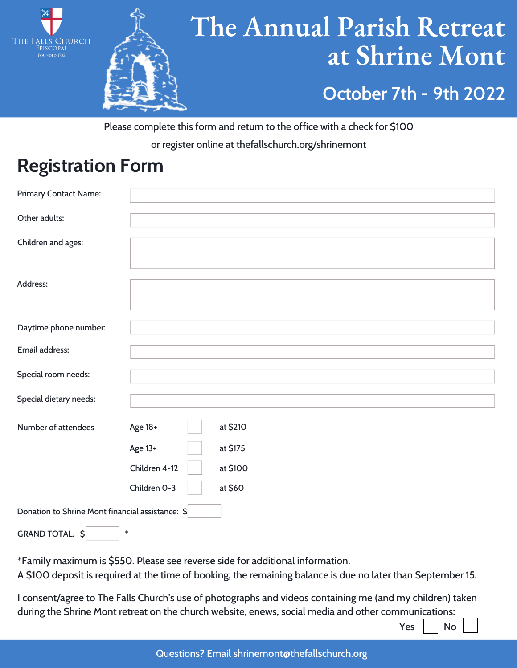



## **The Annual Parish Retreat at Shrine Mont October 7th - 9th 2022**

Please complete this form and return to the office with a check for \$100 or register online at thefallschurch.org/shrinemont

### **Registration Form**

| Primary Contact Name:                            |               |          |
|--------------------------------------------------|---------------|----------|
|                                                  |               |          |
| Other adults:                                    |               |          |
|                                                  |               |          |
| Children and ages:                               |               |          |
| Address:                                         |               |          |
|                                                  |               |          |
|                                                  |               |          |
| Daytime phone number:                            |               |          |
|                                                  |               |          |
| Email address:                                   |               |          |
|                                                  |               |          |
| Special room needs:                              |               |          |
| Special dietary needs:                           |               |          |
|                                                  |               |          |
| Number of attendees                              | Age 18+       | at \$210 |
|                                                  | Age 13+       | at \$175 |
|                                                  | Children 4-12 | at \$100 |
|                                                  | Children O-3  | at \$60  |
| Donation to Shrine Mont financial assistance: \$ |               |          |
| GRAND TOTAL. \$                                  | $\ast$        |          |

\*Family maximum is \$550. Please see reverse side for additional information.

A \$100 deposit is required at the time of booking, the remaining balance is due no later than September 15.

I consent/agree to The Falls Church's use of photographs and videos containing me (and my children) taken during the Shrine Mont retreat on the church website, enews, social media and other communications:

 $Yes$   $|$   $No$